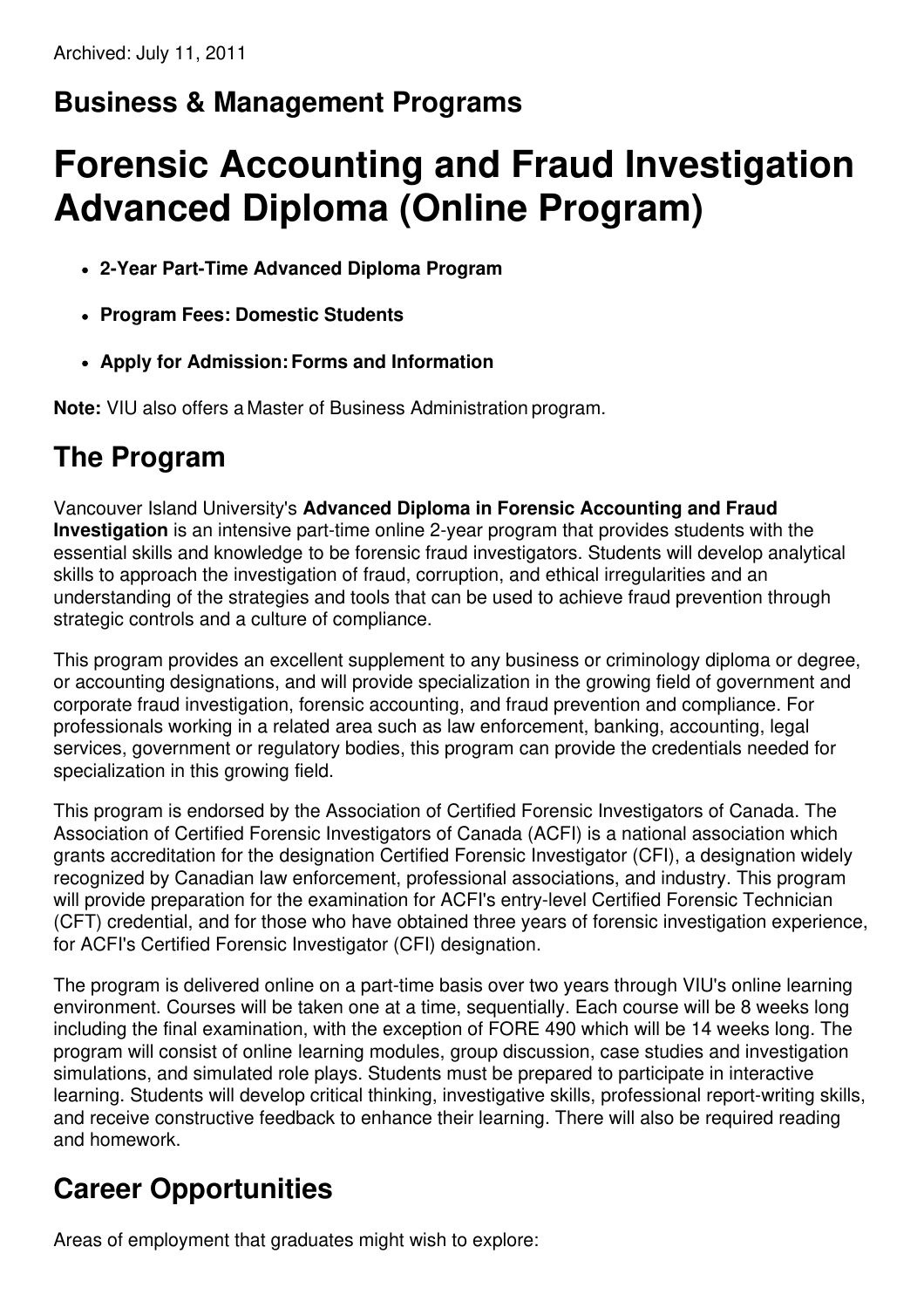# **Business & Management Programs**

# **Forensic Accounting and Fraud Investigation Advanced Diploma (Online Program)**

- **2-Year Part-Time Advanced Diploma Program**
- **Program Fees: Domestic Students**
- **Apply for Admission:Forms and Information**

**Note:** VIU also offers a Master of Business Administration program.

### **The Program**

Vancouver Island University's **Advanced Diploma in Forensic Accounting and Fraud Investigation** is an intensive part-time online 2-year program that provides students with the essential skills and knowledge to be forensic fraud investigators. Students will develop analytical skills to approach the investigation of fraud, corruption, and ethical irregularities and an understanding of the strategies and tools that can be used to achieve fraud prevention through strategic controls and a culture of compliance.

This program provides an excellent supplement to any business or criminology diploma or degree, or accounting designations, and will provide specialization in the growing field of government and corporate fraud investigation, forensic accounting, and fraud prevention and compliance. For professionals working in a related area such as law enforcement, banking, accounting, legal services, government or regulatory bodies, this program can provide the credentials needed for specialization in this growing field.

This program is endorsed by the Association of Certified Forensic Investigators of Canada. The Association of Certified Forensic Investigators of Canada (ACFI) is a national association which grants accreditation for the designation Certified Forensic Investigator (CFI), a designation widely recognized by Canadian law enforcement, professional associations, and industry. This program will provide preparation for the examination for ACFI's entry-level Certified Forensic Technician (CFT) credential, and for those who have obtained three years of forensic investigation experience, for ACFI's Certified Forensic Investigator (CFI) designation.

The program is delivered online on a part-time basis over two years through VIU's online learning environment. Courses will be taken one at a time, sequentially. Each course will be 8 weeks long including the final examination, with the exception of FORE 490 which will be 14 weeks long. The program will consist of online learning modules, group discussion, case studies and investigation simulations, and simulated role plays. Students must be prepared to participate in interactive learning. Students will develop critical thinking, investigative skills, professional report-writing skills, and receive constructive feedback to enhance their learning. There will also be required reading and homework.

# **Career Opportunities**

Areas of employment that graduates might wish to explore: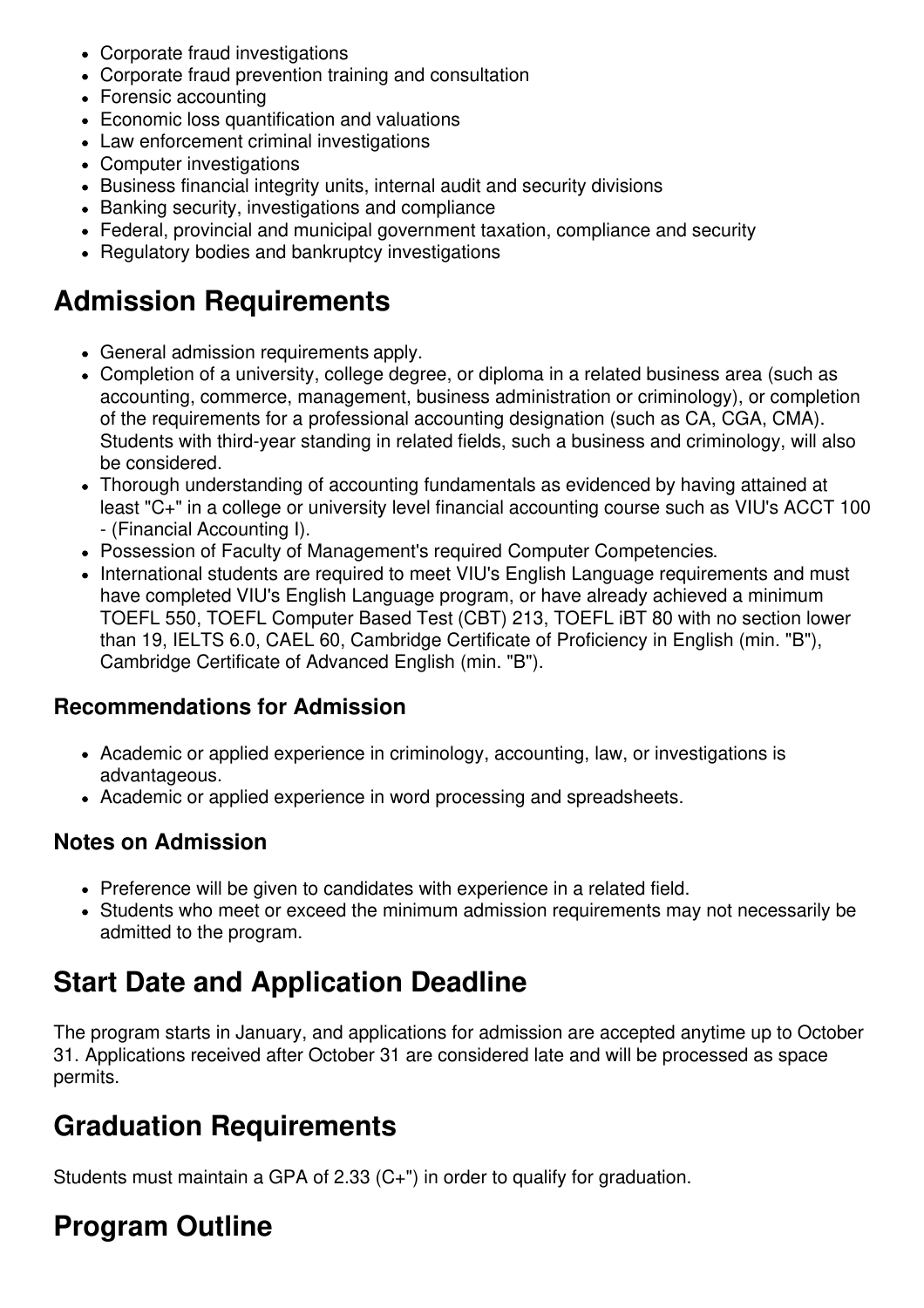- Corporate fraud investigations
- Corporate fraud prevention training and consultation
- Forensic accounting
- Economic loss quantification and valuations
- Law enforcement criminal investigations
- Computer investigations
- Business financial integrity units, internal audit and security divisions
- Banking security, investigations and compliance
- Federal, provincial and municipal government taxation, compliance and security
- Regulatory bodies and bankruptcy investigations

### **Admission Requirements**

- General admission requirements apply.
- Completion of a university, college degree, or diploma in a related business area (such as accounting, commerce, management, business administration or criminology), or completion of the requirements for a professional accounting designation (such as CA, CGA, CMA). Students with third-year standing in related fields, such a business and criminology, will also be considered.
- Thorough understanding of accounting fundamentals as evidenced by having attained at least "C+" in a college or university level financial accounting course such as VIU's ACCT 100 - (Financial Accounting I).
- Possession of Faculty of Management's required Computer Competencies.
- International students are required to meet VIU's English Language requirements and must have completed VIU's English Language program, or have already achieved a minimum TOEFL 550, TOEFL Computer Based Test (CBT) 213, TOEFL iBT 80 with no section lower than 19, IELTS 6.0, CAEL 60, Cambridge Certificate of Proficiency in English (min. "B"), Cambridge Certificate of Advanced English (min. "B").

#### **Recommendations for Admission**

- Academic or applied experience in criminology, accounting, law, or investigations is advantageous.
- Academic or applied experience in word processing and spreadsheets.

#### **Notes on Admission**

- Preference will be given to candidates with experience in a related field.
- Students who meet or exceed the minimum admission requirements may not necessarily be admitted to the program.

## **Start Date and Application Deadline**

The program starts in January, and applications for admission are accepted anytime up to October 31. Applications received after October 31 are considered late and will be processed as space permits.

### **Graduation Requirements**

Students must maintain a GPA of 2.33 (C+") in order to qualify for graduation.

# **Program Outline**